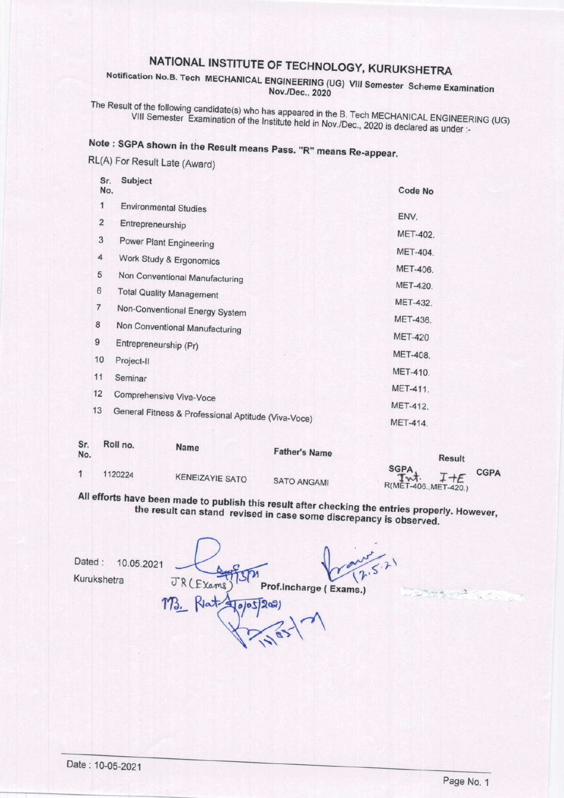## NATIONAL INSTITUTE OF TECHNOLOGY, KURUKSHETRA

Notification No.B. Tech MECHANICAL ENGINEERING (UG) VIII Semester Scheme Examination Nov./Dec., 2020

The Result of the following candidate(s) who has appeared in the B. Tech MECHANICAL ENGINEERING (UG) VIII Semester Examination of the Institute held in Nov./Dec., 2020 is declared as under :-

# Note: SGPA shown in the Result means Pass. "R" means Re-appear.

RL(A) For Result Late (Award)

|    | Sr.<br>No.                                                | Subject                         | Code No        |
|----|-----------------------------------------------------------|---------------------------------|----------------|
|    | 1                                                         | <b>Environmental Studies</b>    |                |
|    | $\overline{2}$                                            | Entrepreneurship                | ENV.           |
|    | 3                                                         | <b>Power Plant Engineering</b>  | MET-402.       |
|    | 4                                                         | Work Study & Ergonomics         | MET-404.       |
|    | 5                                                         | Non Conventional Manufacturing  | MET-406.       |
|    | 6                                                         | <b>Total Quality Management</b> | MET-420.       |
|    | 7                                                         | Non-Conventional Energy System  | MET-432.       |
|    | 8                                                         |                                 | MET-436.       |
|    | 9                                                         | Non Conventional Manufacturing  | <b>MET-420</b> |
|    | 10                                                        | Entrepreneurship (Pr)           | MET-408.       |
|    |                                                           | Project-II                      | MET-410.       |
|    | 11                                                        | Seminar                         | MET-411.       |
|    | 12                                                        | Comprehensive Viva-Voce         | MET-412.       |
|    | 13<br>General Fitness & Professional Aptitude (Viva-Voce) |                                 | MET-414.       |
| Sr |                                                           | Roll no<br><b>Marine</b>        |                |

| $- \cdot \cdot$<br>No. | $\cdots \cdots \cdots \cdots \cdots$ | <b>Name</b>            | <b>Father's Name</b> | <b>Result</b>                                                   |
|------------------------|--------------------------------------|------------------------|----------------------|-----------------------------------------------------------------|
|                        | 1120224                              | <b>KENEIZAYIE SATO</b> | <b>SATO ANGAMI</b>   | SGPA,<br><b>CGPA</b><br>$T + E$<br>Int<br>R(MET-406., MET-420.) |

All efforts have been made to publish this result after checking the entries properly. However, the result can stand revised in case some discrepancy is observed.

Dated: 10.05.2021 Kurukshetra JR (Exams) Prof.Incharge (Exams.)  $4002200$